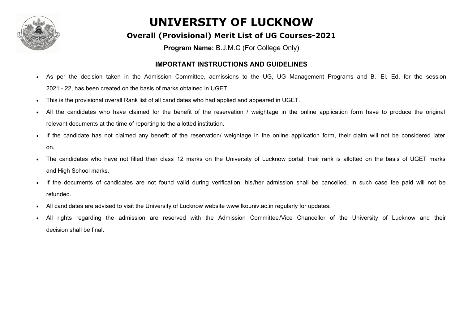

#### **Overall (Provisional) Merit List of UG Courses-2021**

**Program Name:** B.J.M.C (For College Only)

#### **IMPORTANT INSTRUCTIONS AND GUIDELINES**

- **·** As per the decision taken in the Admission Committee, admissions to the UG, UG Management Programs and B. El. Ed. for the session 2021 - 22, has been created on the basis of marks obtained in UGET.
- **·** This is the provisional overall Rank list of all candidates who had applied and appeared in UGET.
- **·** All the candidates who have claimed for the benefit of the reservation / weightage in the online application form have to produce the original relevant documents at the time of reporting to the allotted institution.
- **·** If the candidate has not claimed any benefit of the reservation/ weightage in the online application form, their claim will not be considered later on.
- **·** The candidates who have not filled their class 12 marks on the University of Lucknow portal, their rank is allotted on the basis of UGET marks and High School marks.
- **·** If the documents of candidates are not found valid during verification, his /her admission shall be cancelled. In such case fee paid will not be refunded.
- **·** All candidates are advised to visit the University of Lucknow website www.lkouniv.ac.in regularly for updates.
- **·** All rights regarding the admission are reserved with the Admission Committee/Vice Chancellor of the University of Lucknow and their decision shall be final.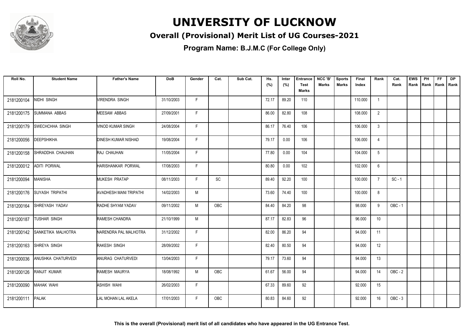

#### **Overall (Provisional) Merit List of UG Courses-2021**

| Roll No.   | <b>Student Name</b>    | <b>Father's Name</b>       | <b>DoB</b> | Gender | Cat.       | Sub Cat. | Hs.<br>(%) | Inter<br>(%) | <b>Entrance</b><br><b>Test</b><br><b>Marks</b> | NCC 'B'<br><b>Marks</b> | <b>Sports</b><br><b>Marks</b> | <b>Final</b><br>Index | Rank            | Cat.<br>Rank   | <b>EWS</b><br>Rank | PH<br><b>IRank</b> | FF.<br>Rank   Rank | <b>DP</b> |
|------------|------------------------|----------------------------|------------|--------|------------|----------|------------|--------------|------------------------------------------------|-------------------------|-------------------------------|-----------------------|-----------------|----------------|--------------------|--------------------|--------------------|-----------|
| 2181200104 | NIDHI SINGH            | VIRENDRA SINGH             | 31/10/2003 | F.     |            |          | 72.17      | 89.20        | 110                                            |                         |                               | 110.000               | $\overline{1}$  |                |                    |                    |                    |           |
| 2181200175 | <b>SUMMANA ABBAS</b>   | <b>MEESAM ABBAS</b>        | 27/09/2001 | F.     |            |          | 86.00      | 82.80        | 108                                            |                         |                               | 108.000               | $\overline{2}$  |                |                    |                    |                    |           |
| 2181200179 | <b>SWECHCHHA SINGH</b> | VINOD KUMAR SINGH          | 24/08/2004 | F.     |            |          | 86.17      | 76.40        | 106                                            |                         |                               | 106.000               | 3               |                |                    |                    |                    |           |
| 2181200056 | <b>DEEPSHIKHA</b>      | <b>DINESH KUMAR NISHAD</b> | 19/08/2004 | F.     |            |          | 79.17      | 0.00         | 106                                            |                         |                               | 106.000               | $\overline{4}$  |                |                    |                    |                    |           |
| 2181200158 | SHRADDHA CHAUHAN       | <b>RAJ CHAUHAN</b>         | 11/05/2004 | F      |            |          | 77.80      | 0.00         | 104                                            |                         |                               | 104.000               | 5               |                |                    |                    |                    |           |
| 2181200012 | <b>ADITI PORWAL</b>    | HARISHANKAR PORWAL         | 17/08/2003 | F      |            |          | 80.80      | 0.00         | 102                                            |                         |                               | 102.000               | 6               |                |                    |                    |                    |           |
| 2181200094 | <b>MANISHA</b>         | MUKESH PRATAP              | 08/11/2003 | F      | SC         |          | 89.40      | 92.20        | 100                                            |                         |                               | 100.000               | $\overline{7}$  | $SC - 1$       |                    |                    |                    |           |
| 2181200176 | <b>SUYASH TRIPATHI</b> | AVADHESH MANI TRIPATHI     | 14/02/2003 | M      |            |          | 73.60      | 74.40        | 100                                            |                         |                               | 100.000               | 8               |                |                    |                    |                    |           |
| 2181200164 | <b>ISHREYASH YADAV</b> | RADHE SHYAM YADAV          | 09/11/2002 | M      | <b>OBC</b> |          | 84.40      | 84.20        | 98                                             |                         |                               | 98.000                | 9               | <b>OBC - 1</b> |                    |                    |                    |           |
| 2181200187 | <b>TUSHAR SINGH</b>    | RAMESH CHANDRA             | 21/10/1999 | M      |            |          | 87.17      | 82.83        | 96                                             |                         |                               | 96.000                | 10 <sup>°</sup> |                |                    |                    |                    |           |
| 2181200142 | SANKETIKA MALHOTRA     | NARENDRA PAL MALHOTRA      | 31/12/2002 | F      |            |          | 82.00      | 86.20        | 94                                             |                         |                               | 94.000                | 11              |                |                    |                    |                    |           |
| 2181200163 | <b>SHREYA SINGH</b>    | RAKESH SINGH               | 28/09/2002 | F.     |            |          | 82.40      | 80.50        | 94                                             |                         |                               | 94.000                | 12              |                |                    |                    |                    |           |
| 2181200036 | ANUSHKA CHATURVEDI     | ANURAG CHATURVEDI          | 13/04/2003 | F      |            |          | 79.17      | 73.60        | 94                                             |                         |                               | 94.000                | 13              |                |                    |                    |                    |           |
| 2181200126 | RANJIT KUMAR           | RAMESH MAURYA              | 18/08/1992 | M      | OBC        |          | 61.67      | 56.00        | 94                                             |                         |                               | 94.000                | 14              | $OBC - 2$      |                    |                    |                    |           |
| 2181200090 | <b>MAHAK WAHI</b>      | ASHISH WAHI                | 26/02/2003 | F.     |            |          | 67.33      | 89.60        | 92                                             |                         |                               | 92.000                | 15              |                |                    |                    |                    |           |
| 2181200111 | <b>PALAK</b>           | LAL MOHAN LAL AKELA        | 17/01/2003 | F.     | OBC        |          | 80.83      | 84.60        | 92                                             |                         |                               | 92.000                | 16              | $OBC - 3$      |                    |                    |                    |           |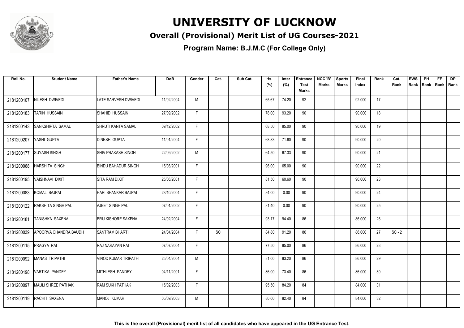

#### **Overall (Provisional) Merit List of UG Courses-2021**

| Roll No.   | <b>Student Name</b>       | <b>Father's Name</b>       | <b>DoB</b> | Gender | Cat. | Sub Cat. | Hs.<br>(%) | Inter<br>(%) | <b>Entrance</b><br><b>Test</b><br><b>Marks</b> | NCC 'B'<br><b>Marks</b> | <b>Sports</b><br><b>Marks</b> | <b>Final</b><br>Index | Rank | Cat.<br>Rank | <b>EWS</b> | PH<br>Rank Rank | <b>FF</b><br>Rank   Rank | <b>DP</b> |
|------------|---------------------------|----------------------------|------------|--------|------|----------|------------|--------------|------------------------------------------------|-------------------------|-------------------------------|-----------------------|------|--------------|------------|-----------------|--------------------------|-----------|
| 2181200107 | NILESH DWIVEDI            | LATE SARVESH DWIVEDI       | 11/02/2004 | M      |      |          | 65.67      | 74.20        | 92                                             |                         |                               | 92.000                | 17   |              |            |                 |                          |           |
| 2181200183 | <b>TARIN HUSSAIN</b>      | SHAHID HUSSAIN             | 27/09/2002 | F.     |      |          | 78.00      | 93.20        | 90                                             |                         |                               | 90.000                | 18   |              |            |                 |                          |           |
| 2181200143 | <b>SANKSHIPTA SAMAL</b>   | SHRUTI KANTA SAMAL         | 09/12/2002 | F      |      |          | 68.50      | 85.00        | 90                                             |                         |                               | 90.000                | 19   |              |            |                 |                          |           |
| 2181200207 | YASHI GUPTA               | <b>DINESH GUPTA</b>        | 11/01/2004 | F      |      |          | 68.83      | 71.60        | 90                                             |                         |                               | 90.000                | 20   |              |            |                 |                          |           |
| 2181200177 | <b>SUYASH SINGH</b>       | <b>SHIV PRAKASH SINGH</b>  | 22/09/2002 | M      |      |          | 64.50      | 67.33        | 90                                             |                         |                               | 90.000                | 21   |              |            |                 |                          |           |
| 2181200068 | <b>HARSHITA SINGH</b>     | <b>BINDU BAHADUR SINGH</b> | 15/08/2001 | F      |      |          | 96.00      | 65.00        | 90                                             |                         |                               | 90.000                | 22   |              |            |                 |                          |           |
| 2181200195 | <b>VAISHNAVI DIXIT</b>    | <b>SITA RAM DIXIT</b>      | 25/06/2001 | F      |      |          | 81.50      | 60.60        | 90                                             |                         |                               | 90.000                | 23   |              |            |                 |                          |           |
| 2181200083 | KOMAL BAJPAI              | HARI SHANKAR BAJPAI        | 28/10/2004 | F.     |      |          | 84.00      | 0.00         | 90                                             |                         |                               | 90.000                | 24   |              |            |                 |                          |           |
| 2181200122 | <b>RAKSHITA SINGH PAL</b> | AJEET SINGH PAL            | 07/01/2002 | F.     |      |          | 81.40      | 0.00         | 90                                             |                         |                               | 90.000                | 25   |              |            |                 |                          |           |
| 2181200181 | TANISHKA SAXENA           | <b>BRIJ KISHORE SAXENA</b> | 24/02/2004 | F      |      |          | 93.17      | 94.40        | 86                                             |                         |                               | 86.000                | 26   |              |            |                 |                          |           |
| 2181200039 | APOORVA CHANDRA BAUDH     | <b>SANTRAM BHARTI</b>      | 24/04/2004 | E      | SC   |          | 84.80      | 91.20        | 86                                             |                         |                               | 86.000                | 27   | $SC - 2$     |            |                 |                          |           |
| 2181200115 | PRAGYA RAI                | RAJ NARAYAN RAI            | 07/07/2004 | F.     |      |          | 77.50      | 85.00        | 86                                             |                         |                               | 86.000                | 28   |              |            |                 |                          |           |
| 2181200092 | <b>MANAS TRIPATHI</b>     | VINOD KUMAR TRIPATHI       | 25/04/2004 | M      |      |          | 81.00      | 83.20        | 86                                             |                         |                               | 86.000                | 29   |              |            |                 |                          |           |
| 2181200198 | <b>VARTIKA PANDEY</b>     | MITHLESH PANDEY            | 04/11/2001 | F      |      |          | 86.00      | 73.40        | 86                                             |                         |                               | 86.000                | 30   |              |            |                 |                          |           |
| 2181200097 | MAULI SHREE PATHAK        | RAM SUKH PATHAK            | 15/02/2003 | F.     |      |          | 95.50      | 84.20        | 84                                             |                         |                               | 84.000                | 31   |              |            |                 |                          |           |
| 2181200119 | RACHIT SAXENA             | MANOJ KUMAR                | 05/09/2003 | M      |      |          | 80.00      | 82.40        | 84                                             |                         |                               | 84.000                | 32   |              |            |                 |                          |           |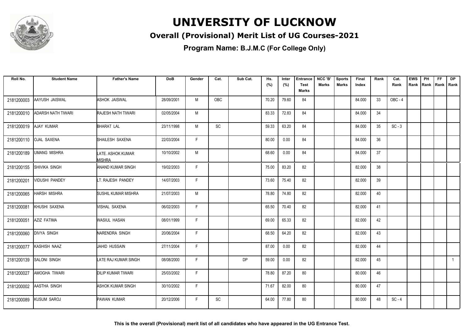

#### **Overall (Provisional) Merit List of UG Courses-2021**

**Program Name: B.J.M.C (For College Only)**

| Roll No.   | <b>Student Name</b>       | <b>Father's Name</b>        | <b>DoB</b> | Gender | Cat. | Sub Cat.  | Hs.<br>(%) | Inter<br>(%) | <b>Entrance</b><br><b>Test</b><br>Marks | NCC 'B'<br>Marks | <b>Sports</b><br><b>Marks</b> | Final<br>Index | Rank | Cat.<br>Rank | <b>EWS</b> | PH<br>Rank Rank Rank Rank | FF. | <b>DP</b> |
|------------|---------------------------|-----------------------------|------------|--------|------|-----------|------------|--------------|-----------------------------------------|------------------|-------------------------------|----------------|------|--------------|------------|---------------------------|-----|-----------|
| 2181200003 | AAYUSH JAISWAL            | <b>ASHOK JAISWAL</b>        | 28/09/2001 | M      | OBC  |           | 70.20      | 79.60        | 84                                      |                  |                               | 84.000         | 33   | OBC-4        |            |                           |     |           |
| 2181200010 | <b>ADARSH NATH TIWARI</b> | <b>RAJESH NATH TIWARI</b>   | 02/05/2004 | M      |      |           | 83.33      | 72.83        | 84                                      |                  |                               | 84.000         | 34   |              |            |                           |     |           |
| 2181200019 | <b>AJAY KUMAR</b>         | BHARAT LAL                  | 23/11/1998 | M      | SC   |           | 59.33      | 63.20        | 84                                      |                  |                               | 84.000         | 35   | $SC - 3$     |            |                           |     |           |
| 2181200110 | <b>OJAL SAXENA</b>        | SHAILESH SAXENA             | 22/03/2004 | F      |      |           | 80.00      | 0.00         | 84                                      |                  |                               | 84.000         | 36   |              |            |                           |     |           |
| 2181200189 | <b>UMANG MISHRA</b>       | LATE. ASHOK KUMAR<br>MISHRA | 10/10/2002 | M      |      |           | 68.60      | 0.00         | 84                                      |                  |                               | 84.000         | 37   |              |            |                           |     |           |
| 2181200155 | <b>SHIVIKA SINGH</b>      | <b>ANAND KUMAR SINGH</b>    | 19/02/2003 | F      |      |           | 75.00      | 83.20        | 82                                      |                  |                               | 82.000         | 38   |              |            |                           |     |           |
| 2181200201 | <b>VIDUSHI PANDEY</b>     | LT. RAJESH PANDEY           | 14/07/2003 | F      |      |           | 73.60      | 75.40        | 82                                      |                  |                               | 82.000         | 39   |              |            |                           |     |           |
| 2181200065 | <b>HARSH MISHRA</b>       | <b>SUSHIL KUMAR MISHRA</b>  | 21/07/2003 | M      |      |           | 78.80      | 74.80        | 82                                      |                  |                               | 82.000         | 40   |              |            |                           |     |           |
| 2181200081 | KHUSHI SAXENA             | <b><i>NISHAL SAXENA</i></b> | 06/02/2003 | F      |      |           | 65.50      | 70.40        | 82                                      |                  |                               | 82.000         | 41   |              |            |                           |     |           |
| 2181200051 | AZIZ FATIMA               | WASIUL HASAN                | 08/01/1999 | F      |      |           | 69.00      | 65.33        | 82                                      |                  |                               | 82.000         | 42   |              |            |                           |     |           |
| 2181200060 | <b>DIVYA SINGH</b>        | NARENDRA SINGH              | 20/06/2004 | F      |      |           | 68.50      | 64.20        | 82                                      |                  |                               | 82.000         | 43   |              |            |                           |     |           |
| 2181200077 | KASHISH NAAZ              | JAHID HUSSAIN               | 27/11/2004 | F      |      |           | 87.00      | 0.00         | 82                                      |                  |                               | 82.000         | 44   |              |            |                           |     |           |
| 2181200139 | <b>SALONI SINGH</b>       | LATE RAJ KUMAR SINGH        | 08/08/2000 | F      |      | <b>DP</b> | 59.00      | 0.00         | 82                                      |                  |                               | 82.000         | 45   |              |            |                           |     | 1         |
| 2181200027 | AMOGHA TIWARI             | <b>DILIP KUMAR TIWARI</b>   | 25/03/2002 | F      |      |           | 78.80      | 87.20        | 80                                      |                  |                               | 80.000         | 46   |              |            |                           |     |           |
| 2181200002 | AASTHA SINGH              | <b>ASHOK KUMAR SINGH</b>    | 30/10/2002 | F      |      |           | 71.67      | 82.00        | 80                                      |                  |                               | 80.000         | 47   |              |            |                           |     |           |
| 2181200089 | <b>KUSUM SAROJ</b>        | PAWAN KUMAR                 | 20/12/2006 | F.     | SC   |           | 64.00      | 77.80        | 80                                      |                  |                               | 80.000         | 48   | $SC - 4$     |            |                           |     |           |

**This is the overall (Provisional) merit list of all candidates who have appeared in the UG Entrance Test.**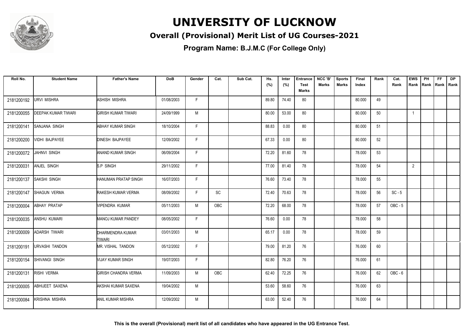

#### **Overall (Provisional) Merit List of UG Courses-2021**

**Program Name: B.J.M.C (For College Only)**

| Roll No.   | <b>Student Name</b>        | <b>Father's Name</b>                     | <b>DoB</b> | Gender | Cat.       | Sub Cat. | Hs.<br>(%) | Inter<br>(%) | <b>Entrance</b><br><b>Test</b><br>Marks | NCC 'B'<br><b>Marks</b> | <b>Sports</b><br><b>Marks</b> | Final<br>Index | Rank | Cat.<br>Rank | <b>EWS</b><br>Rank | PH<br>Rank | FF.<br>Rank   Rank | <b>DP</b> |
|------------|----------------------------|------------------------------------------|------------|--------|------------|----------|------------|--------------|-----------------------------------------|-------------------------|-------------------------------|----------------|------|--------------|--------------------|------------|--------------------|-----------|
| 2181200192 | <b>URVI MISHRA</b>         | <b>ASHISH MISHRA</b>                     | 01/08/2003 | F.     |            |          | 89.80      | 74.40        | 80                                      |                         |                               | 80.000         | 49   |              |                    |            |                    |           |
| 2181200055 | <b>DEEPAK KUMAR TIWARI</b> | <b>GIRISH KUMAR TIWARI</b>               | 24/09/1999 | M      |            |          | 80.00      | 53.00        | 80                                      |                         |                               | 80.000         | 50   |              | $\overline{1}$     |            |                    |           |
| 2181200141 | <b>SANJANA SINGH</b>       | <b>ABHAY KUMAR SINGH</b>                 | 18/10/2004 | F.     |            |          | 88.83      | 0.00         | 80                                      |                         |                               | 80.000         | 51   |              |                    |            |                    |           |
| 2181200200 | <b>VIDHI BAJPAYEE</b>      | <b>DINESH BAJPAYEE</b>                   | 12/09/2002 | F.     |            |          | 67.33      | 0.00         | 80                                      |                         |                               | 80.000         | 52   |              |                    |            |                    |           |
| 2181200072 | JAHNVI SINGH               | <b>ANAND KUMAR SINGH</b>                 | 06/09/2004 | F.     |            |          | 72.20      | 81.60        | 78                                      |                         |                               | 78.000         | 53   |              |                    |            |                    |           |
| 2181200031 | ANJEL SINGH                | S.P SINGH                                | 29/11/2002 | F.     |            |          | 77.00      | 81.40        | 78                                      |                         |                               | 78.000         | 54   |              | $\overline{2}$     |            |                    |           |
| 2181200137 | <b>SAKSHI SINGH</b>        | <b>HANUMAN PRATAP SINGH</b>              | 16/07/2003 | F.     |            |          | 76.60      | 73.40        | 78                                      |                         |                               | 78.000         | 55   |              |                    |            |                    |           |
| 2181200147 | <b>SHAGUN VERMA</b>        | RAKESH KUMAR VERMA                       | 08/09/2002 | F.     | SC         |          | 72.40      | 70.63        | 78                                      |                         |                               | 78.000         | 56   | $SC - 5$     |                    |            |                    |           |
| 2181200004 | ABHAY PRATAP               | VIPENDRA KUMAR                           | 05/11/2003 | M      | <b>OBC</b> |          | 72.20      | 68.00        | 78                                      |                         |                               | 78.000         | 57   | $OBC - 5$    |                    |            |                    |           |
| 2181200035 | <b>ANSHU KUMARI</b>        | <b>MANOJ KUMAR PANDEY</b>                | 08/05/2002 | F.     |            |          | 76.60      | 0.00         | 78                                      |                         |                               | 78.000         | 58   |              |                    |            |                    |           |
| 2181200009 | <b>ADARSH TIWARI</b>       | <b>DHARMENDRA KUMAR</b><br><b>TIWARI</b> | 03/01/2003 | M      |            |          | 65.17      | 0.00         | 78                                      |                         |                               | 78.000         | 59   |              |                    |            |                    |           |
| 2181200191 | <b>URVASHI TANDON</b>      | MR. VISHAL TANDON                        | 05/12/2002 | F.     |            |          | 79.00      | 81.20        | 76                                      |                         |                               | 76.000         | 60   |              |                    |            |                    |           |
| 2181200154 | SHIVANGI SINGH             | <b>VIJAY KUMAR SINGH</b>                 | 19/07/2003 | F.     |            |          | 82.80      | 76.20        | 76                                      |                         |                               | 76.000         | 61   |              |                    |            |                    |           |
| 2181200131 | RISHI VERMA                | <b>GIRISH CHANDRA VERMA</b>              | 11/09/2003 | M      | OBC        |          | 62.40      | 72.25        | 76                                      |                         |                               | 76.000         | 62   | OBC-6        |                    |            |                    |           |
| 2181200005 | ABHIJEET SAXENA            | AKSHAI KUMAR SAXENA                      | 19/04/2002 | М      |            |          | 53.60      | 58.60        | 76                                      |                         |                               | 76.000         | 63   |              |                    |            |                    |           |
| 2181200084 | <b>KRISHNA MISHRA</b>      | <b>ANIL KUMAR MISHRA</b>                 | 12/09/2002 | M      |            |          | 63.00      | 52.40        | 76                                      |                         |                               | 76.000         | 64   |              |                    |            |                    |           |

**This is the overall (Provisional) merit list of all candidates who have appeared in the UG Entrance Test.**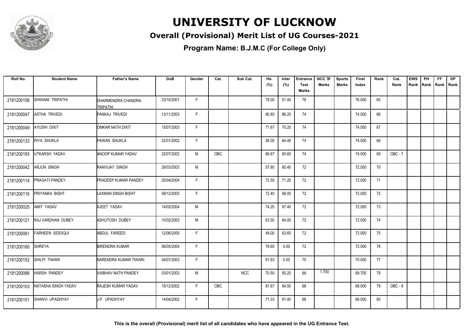

#### **Overall (Provisional) Merit List of UG Courses-2021**

| Roll No.   | <b>Student Name</b>     | <b>Father's Name</b>           | <b>DoB</b> | Gender | Cat. | Sub Cat.   | Hs.<br>(%) | Inter<br>(%) | <b>Entrance</b><br>Test<br><b>Marks</b> | NCC 'B'<br>Marks | <b>Sports</b><br>Marks | Final<br>Index | Rank | Cat.<br>Rank   | <b>EWS</b><br>Rank | PH | <b>FF</b><br>Rank   Rank   Rank | <b>DP</b> |
|------------|-------------------------|--------------------------------|------------|--------|------|------------|------------|--------------|-----------------------------------------|------------------|------------------------|----------------|------|----------------|--------------------|----|---------------------------------|-----------|
| 2181200156 | SHIWANI TRIPATHI        | DHARMENDRA CHANDRA<br>TRIPATHI | 23/10/2001 | F      |      |            | 78.00      | 51.40        | 76                                      |                  |                        | 76.000         | 65   |                |                    |    |                                 |           |
| 2181200047 | <b>ASTHA TRIVEDI</b>    | PANKAJ TRIVEDI                 | 13/11/2003 | F      |      |            | 90.80      | 86.20        | 74                                      |                  |                        | 74.000         | 66   |                |                    |    |                                 |           |
| 2181200049 | <b>AYUSHI DIXIT</b>     | OMKAR NATH DIXIT               | 15/07/2003 | F      |      |            | 71.67      | 70.20        | 74                                      |                  |                        | 74.000         | 67   |                |                    |    |                                 |           |
| 2181200133 | <b>RIYA SHUKLA</b>      | PAWAN SHUKLA                   | 22/01/2002 | F      |      |            | 56.00      | 64.40        | 74                                      |                  |                        | 74.000         | 68   |                |                    |    |                                 |           |
| 2181200193 | UTKARSH YADAV           | <b>ANOOP KUMAR YADAV</b>       | 22/07/2002 | M      | OBC  |            | 66.67      | 60.60        | 74                                      |                  |                        | 74.000         | 69   | <b>OBC - 7</b> |                    |    |                                 |           |
| 2181200042 | <b>ARJUN SINGH</b>      | RANVIJAY SINGH                 | 26/03/2003 | M      |      |            | 57.80      | 80.40        | 72                                      |                  |                        | 72.000         | 70   |                |                    |    |                                 |           |
| 2181200114 | <b>PRAGATI PANDEY</b>   | <b>PRADEEP KUMAR PANDEY</b>    | 20/04/2004 | F      |      |            | 72.50      | 71.20        | 72                                      |                  |                        | 72.000         | 71   |                |                    |    |                                 |           |
| 2181200116 | PRIYANKA BISHT          | <b>LAXMAN SINGH BISHT</b>      | 09/12/2003 | F.     |      |            | 72.40      | 68.00        | 72                                      |                  |                        | 72.000         | 72   |                |                    |    |                                 |           |
| 2181200025 | <b>AMIT YADAV</b>       | AJEET YADAV                    | 14/02/2004 | M      |      |            | 74.20      | 67.40        | 72                                      |                  |                        | 72.000         | 73   |                |                    |    |                                 |           |
| 2181200121 | RAJ VARDHAN DUBEY       | ASHUTOSH DUBEY                 | 10/02/2003 | M      |      |            | 63.50      | 64.00        | 72                                      |                  |                        | 72.000         | 74   |                |                    |    |                                 |           |
| 2181200061 | <b>FARHEEN SIDDIQUI</b> | ABDUL FAREED                   | 12/06/2000 | F      |      |            | 48.00      | 63.60        | 72                                      |                  |                        | 72.000         | 75   |                |                    |    |                                 |           |
| 2181200160 | <b>SHREYA</b>           | <b>BIRENDRA KUMAR</b>          | 06/05/2004 | F      |      |            | 78.60      | 0.00         | 72                                      |                  |                        | 72.000         | 76   |                |                    |    |                                 |           |
| 2181200152 | SHILPI TIWARI           | NARENDRA KUMAR TIWARI          | 04/07/2003 | F      |      |            | 81.83      | 0.00         | 70                                      |                  |                        | 70.000         | 77   |                |                    |    |                                 |           |
| 2181200066 | <b>HARSH PANDEY</b>     | VAIBHAV NATH PANDEY            | 03/01/2003 | M      |      | <b>NCC</b> | 70.50      | 65.20        | 68                                      | 1.700            |                        | 69.700         | 78   |                |                    |    |                                 |           |
| 2181200103 | NATASHA SINGH YADAV     | <b>RAJESH KUMAR YADAV</b>      | 15/12/2002 | F.     | OBC  |            | 81.67      | 84.50        | 68                                      |                  |                        | 68.000         | 79   | OBC-8          |                    |    |                                 |           |
| 2181200151 | SHANVI UPADHYAY         | <b>I</b> J.P. UPADHYAY         | 14/04/2002 | F.     |      |            | 71.33      | 81.40        | 68                                      |                  |                        | 68.000         | 80   |                |                    |    |                                 |           |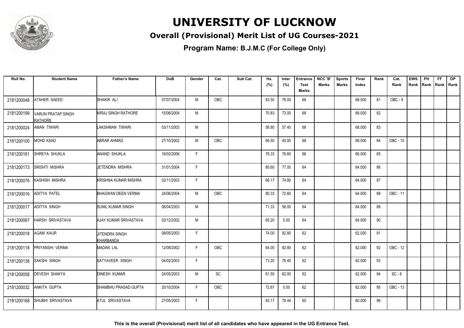

#### **Overall (Provisional) Merit List of UG Courses-2021**

| Roll No.   | <b>Student Name</b>                         | <b>Father's Name</b>               | <b>DoB</b> | Gender       | Cat. | Sub Cat. | Hs.<br>(%) | Inter<br>(%) | <b>Entrance</b><br><b>Test</b> | NCC 'B'<br>Marks | <b>Sports</b><br>Marks | Final<br>Index | Rank | Cat.<br>Rank | <b>EWS</b><br>Rank | PH | <b>FF</b><br>Rank   Rank   Rank | <b>DP</b> |
|------------|---------------------------------------------|------------------------------------|------------|--------------|------|----------|------------|--------------|--------------------------------|------------------|------------------------|----------------|------|--------------|--------------------|----|---------------------------------|-----------|
|            |                                             |                                    |            |              |      |          |            |              | <b>Marks</b>                   |                  |                        |                |      |              |                    |    |                                 |           |
| 2181200048 | <b>ATAHER SAEED</b>                         | SHAKIR ALI                         | 07/07/2004 | M            | OBC  |          | 83.50      | 78.00        | 68                             |                  |                        | 68.000         | 81   | $OBC - 9$    |                    |    |                                 |           |
| 2181200199 | <b>VARUN PRATAP SINGH</b><br><b>RATHORE</b> | <b>NIRAJ SINGH RATHORE</b>         | 15/06/2004 | M            |      |          | 70.83      | 73.00        | 68                             |                  |                        | 68.000         | 82   |              |                    |    |                                 |           |
| 2181200024 | <b>AMAN TIWARI</b>                          | LAKSHMAN TIWARI                    | 03/11/2003 | M            |      |          | 56.80      | 57.40        | 68                             |                  |                        | 68.000         | 83   |              |                    |    |                                 |           |
| 2181200100 | <b>MOHD ASAD</b>                            | <b>ABRAR AHMAD</b>                 | 27/10/2002 | M            | OBC  |          | 68.50      | 45.00        | 68                             |                  |                        | 68.000         | 84   | OBC - 10     |                    |    |                                 |           |
| 2181200161 | SHREYA SHUKLA                               | ANAND SHUKLA                       | 18/02/2006 | F.           |      |          | 78.33      | 76.60        | 66                             |                  |                        | 66.000         | 85   |              |                    |    |                                 |           |
| 2181200173 | <b>SRISHTI MISHRA</b>                       | <b>IJETENDRA MISHRA</b>            | 31/01/2004 | F            |      |          | 80.60      | 77.00        | 64                             |                  |                        | 64.000         | 86   |              |                    |    |                                 |           |
| 2181200076 | KASHISH MISHRA                              | KRISHNA KUMAR MISHRA               | 02/11/2003 | F            |      |          | 66.17      | 74.80        | 64                             |                  |                        | 64.000         | 87   |              |                    |    |                                 |           |
| 2181200016 | <b>ADITYA PATEL</b>                         | <b>BHAGWAN DEEN VERMA</b>          | 24/06/2004 | M            | OBC  |          | 80.33      | 72.60        | 64                             |                  |                        | 64.000         | 88   | OBC - 11     |                    |    |                                 |           |
| 2181200017 | ADITYA SINGH                                | SUNIL KUMAR SINGH                  | 06/04/2003 | M            |      |          | 71.33      | 56.00        | 64                             |                  |                        | 64.000         | 89   |              |                    |    |                                 |           |
| 2181200067 | <b>HARSH SRIVASTAVA</b>                     | AJAY KUMAR SRIVASTAVA              | 02/12/2002 | M            |      |          | 65.20      | 0.00         | 64                             |                  |                        | 64.000         | 90   |              |                    |    |                                 |           |
| 2181200018 | <b>AGAM KAUR</b>                            | <b>JITENDRA SINGH</b><br>KHARBANDA | 08/05/2003 | $\mathsf{F}$ |      |          | 74.00      | 82.80        | 62                             |                  |                        | 62.000         | 91   |              |                    |    |                                 |           |
| 2181200118 | PRIYANSHI VERMA                             | <b>MADAN LAL</b>                   | 12/08/2002 | F            | OBC  |          | 64.00      | 82.80        | 62                             |                  |                        | 62.000         | 92   | OBC - 12     |                    |    |                                 |           |
| 2181200138 | SAKSHI SINGH                                | SATYAVEER SINGH                    | 04/02/2003 | F            |      |          | 73.20      | 76.40        | 62                             |                  |                        | 62.000         | 93   |              |                    |    |                                 |           |
| 2181200058 | <b>DEVESH SHAKYA</b>                        | <b>DINESH KUMAR</b>                | 24/05/2003 | M            | SC   |          | 61.50      | 62.00        | 62                             |                  |                        | 62.000         | 94   | $SC - 6$     |                    |    |                                 |           |
| 2181200032 | ANKITA GUPTA                                | SHAMBHU PRASAD GUPTA               | 20/10/2004 | F.           | OBC  |          | 72.67      | 0.00         | 62                             |                  |                        | 62.000         | 95   | OBC - 13     |                    |    |                                 |           |
| 2181200168 | SHUBHI SRIVASTAVA                           | ATUL SRIVASTAVA                    | 27/05/2003 | F.           |      |          | 83.17      | 78.44        | 60                             |                  |                        | 60.000         | 96   |              |                    |    |                                 |           |